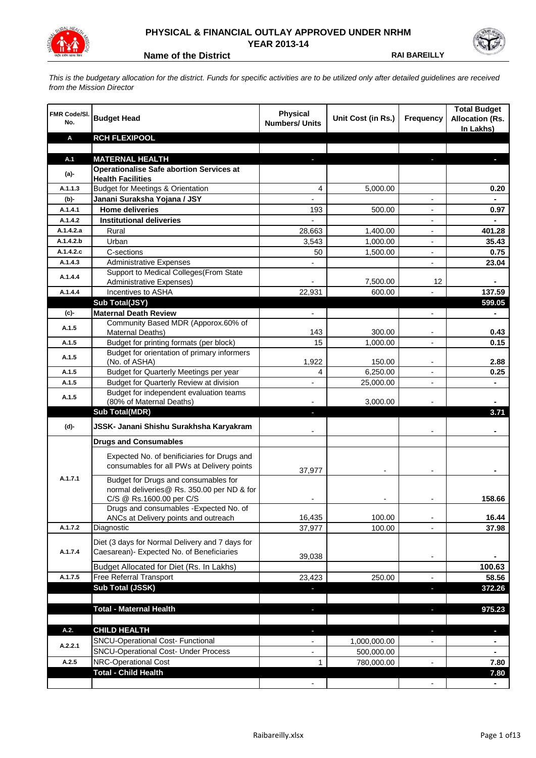

## **PHYSICAL & FINANCIAL OUTLAY APPROVED UNDER NRHM YEAR 2013-14**

**Name of the District <b>RAI BAREILLY** 

*This is the budgetary allocation for the district. Funds for specific activities are to be utilized only after detailed guidelines are received from the Mission Director*

| FMR Code/SI.<br>No. | <b>Budget Head</b>                                                                                             | <b>Physical</b><br><b>Numbers/ Units</b> | Unit Cost (in Rs.)   | <b>Frequency</b>         | <b>Total Budget</b><br><b>Allocation (Rs.</b><br>In Lakhs) |
|---------------------|----------------------------------------------------------------------------------------------------------------|------------------------------------------|----------------------|--------------------------|------------------------------------------------------------|
| Α                   | <b>RCH FLEXIPOOL</b>                                                                                           |                                          |                      |                          |                                                            |
|                     |                                                                                                                |                                          |                      |                          |                                                            |
| A.1                 | <b>MATERNAL HEALTH</b>                                                                                         |                                          |                      |                          |                                                            |
| $(a)$ -             | <b>Operationalise Safe abortion Services at</b>                                                                |                                          |                      |                          |                                                            |
| A.1.1.3             | <b>Health Facilities</b><br><b>Budget for Meetings &amp; Orientation</b>                                       |                                          |                      |                          |                                                            |
|                     |                                                                                                                | 4                                        | 5,000.00             |                          | 0.20                                                       |
| (b)-<br>A.1.4.1     | Janani Suraksha Yojana / JSY<br><b>Home deliveries</b>                                                         |                                          |                      |                          |                                                            |
| A.1.4.2             | <b>Institutional deliveries</b>                                                                                | 193                                      | 500.00               |                          | 0.97                                                       |
| A.1.4.2.a           | Rural                                                                                                          |                                          |                      |                          | 401.28                                                     |
| A.1.4.2.b           | Urban                                                                                                          | 28,663<br>3,543                          | 1,400.00<br>1,000.00 |                          | 35.43                                                      |
| A.1.4.2.c           | C-sections                                                                                                     | 50                                       |                      |                          | 0.75                                                       |
| A.1.4.3             | <b>Administrative Expenses</b>                                                                                 |                                          | 1,500.00             | $\overline{a}$           | 23.04                                                      |
|                     | Support to Medical Colleges (From State                                                                        |                                          |                      |                          |                                                            |
| A.1.4.4             | Administrative Expenses)                                                                                       |                                          | 7,500.00             | 12                       |                                                            |
| A.1.4.4             | Incentives to ASHA                                                                                             | 22,931                                   | 600.00               |                          | 137.59                                                     |
|                     | Sub Total(JSY)                                                                                                 |                                          |                      |                          | 599.05                                                     |
| (c)-                | <b>Maternal Death Review</b>                                                                                   | $\overline{\phantom{a}}$                 |                      | $\overline{\phantom{a}}$ | $\blacksquare$                                             |
| A.1.5               | Community Based MDR (Apporox.60% of<br>Maternal Deaths)                                                        | 143                                      | 300.00               | $\blacksquare$           | 0.43                                                       |
| A.1.5               | Budget for printing formats (per block)                                                                        | 15                                       | 1,000.00             |                          | 0.15                                                       |
| A.1.5               | Budget for orientation of primary informers<br>(No. of ASHA)                                                   | 1,922                                    | 150.00               | $\overline{\phantom{a}}$ | 2.88                                                       |
| A.1.5               | Budget for Quarterly Meetings per year                                                                         | 4                                        | 6,250.00             |                          | 0.25                                                       |
| A.1.5               | Budget for Quarterly Review at division                                                                        | $\overline{\phantom{a}}$                 | 25,000.00            |                          |                                                            |
|                     | Budget for independent evaluation teams                                                                        |                                          |                      |                          |                                                            |
| A.1.5               | (80% of Maternal Deaths)                                                                                       |                                          | 3,000.00             |                          |                                                            |
|                     | <b>Sub Total(MDR)</b>                                                                                          | L.                                       |                      |                          | 3.71                                                       |
| (d)-                | JSSK- Janani Shishu Surakhsha Karyakram                                                                        |                                          |                      |                          |                                                            |
|                     | <b>Drugs and Consumables</b>                                                                                   |                                          |                      |                          |                                                            |
|                     | Expected No. of benificiaries for Drugs and<br>consumables for all PWs at Delivery points                      | 37,977                                   |                      |                          |                                                            |
| A.1.7.1             | Budget for Drugs and consumables for<br>normal deliveries@ Rs. 350.00 per ND & for<br>C/S @ Rs.1600.00 per C/S |                                          |                      |                          | 158.66                                                     |
|                     | Drugs and consumables - Expected No. of                                                                        |                                          |                      |                          |                                                            |
|                     | ANCs at Delivery points and outreach                                                                           | 16,435                                   | 100.00               |                          | 16.44                                                      |
| A.1.7.2             | Diagnostic                                                                                                     | 37,977                                   | 100.00               |                          | 37.98                                                      |
|                     | Diet (3 days for Normal Delivery and 7 days for                                                                |                                          |                      |                          |                                                            |
| A.1.7.4             | Caesarean)- Expected No. of Beneficiaries                                                                      |                                          |                      |                          |                                                            |
|                     |                                                                                                                | 39,038                                   |                      | $\overline{\phantom{a}}$ |                                                            |
|                     | Budget Allocated for Diet (Rs. In Lakhs)                                                                       |                                          |                      |                          | 100.63                                                     |
| A.1.7.5             | Free Referral Transport                                                                                        | 23,423                                   | 250.00               | $\overline{a}$           | 58.56                                                      |
|                     | Sub Total (JSSK)                                                                                               |                                          |                      | ÷.                       | 372.26                                                     |
|                     |                                                                                                                |                                          |                      |                          |                                                            |
|                     | <b>Total - Maternal Health</b>                                                                                 | J,                                       |                      | $\overline{\phantom{a}}$ | 975.23                                                     |
| A.2.                | <b>CHILD HEALTH</b>                                                                                            |                                          |                      | r.                       | ٠                                                          |
|                     | SNCU-Operational Cost- Functional                                                                              |                                          | 1,000,000.00         |                          |                                                            |
| A.2.2.1             | <b>SNCU-Operational Cost- Under Process</b>                                                                    |                                          | 500,000.00           |                          |                                                            |
| A.2.5               | NRC-Operational Cost                                                                                           | 1                                        | 780,000.00           |                          | 7.80                                                       |
|                     | <b>Total - Child Health</b>                                                                                    |                                          |                      |                          | 7.80                                                       |
|                     |                                                                                                                |                                          |                      |                          |                                                            |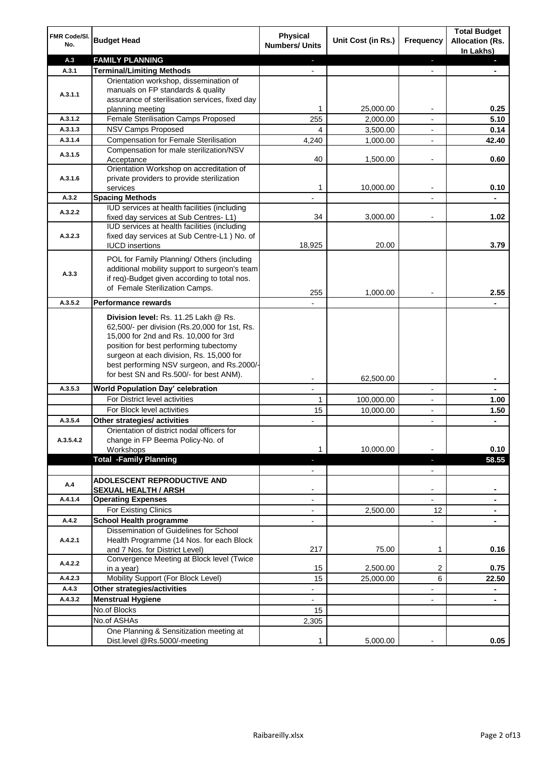| FMR Code/SI.<br>No.  | <b>Budget Head</b>                                                                                                                                                                                                                                                                                            | <b>Physical</b><br><b>Numbers/ Units</b>             | Unit Cost (in Rs.) | <b>Frequency</b>              | <b>Total Budget</b><br><b>Allocation (Rs.</b><br>In Lakhs) |
|----------------------|---------------------------------------------------------------------------------------------------------------------------------------------------------------------------------------------------------------------------------------------------------------------------------------------------------------|------------------------------------------------------|--------------------|-------------------------------|------------------------------------------------------------|
| A.3                  | <b>FAMILY PLANNING</b>                                                                                                                                                                                                                                                                                        | $\sim$                                               |                    | $\blacksquare$                | $\sim$                                                     |
| A.3.1                | <b>Terminal/Limiting Methods</b>                                                                                                                                                                                                                                                                              |                                                      |                    |                               |                                                            |
| A.3.1.1              | Orientation workshop, dissemination of<br>manuals on FP standards & quality<br>assurance of sterilisation services, fixed day<br>planning meeting                                                                                                                                                             | 1                                                    | 25,000.00          | $\overline{\phantom{a}}$      | 0.25                                                       |
| A.3.1.2              | Female Sterilisation Camps Proposed                                                                                                                                                                                                                                                                           | 255                                                  | 2,000.00           |                               | 5.10                                                       |
| A.3.1.3              | <b>NSV Camps Proposed</b>                                                                                                                                                                                                                                                                                     | 4                                                    | 3,500.00           |                               | 0.14                                                       |
| A.3.1.4              | <b>Compensation for Female Sterilisation</b>                                                                                                                                                                                                                                                                  | 4,240                                                | 1,000.00           | $\overline{\phantom{a}}$      | 42.40                                                      |
| A.3.1.5              | Compensation for male sterilization/NSV<br>Acceptance                                                                                                                                                                                                                                                         | 40                                                   | 1,500.00           |                               | 0.60                                                       |
| A.3.1.6              | Orientation Workshop on accreditation of<br>private providers to provide sterilization<br>services                                                                                                                                                                                                            | 1                                                    | 10,000.00          | $\blacksquare$                | 0.10                                                       |
| A.3.2                | <b>Spacing Methods</b>                                                                                                                                                                                                                                                                                        |                                                      |                    |                               | ۰                                                          |
| A.3.2.2              | IUD services at health facilities (including<br>fixed day services at Sub Centres-L1)                                                                                                                                                                                                                         | 34                                                   | 3,000.00           | $\overline{\phantom{a}}$      | 1.02                                                       |
| A.3.2.3              | IUD services at health facilities (including<br>fixed day services at Sub Centre-L1 ) No. of<br><b>IUCD</b> insertions                                                                                                                                                                                        | 18,925                                               | 20.00              |                               | 3.79                                                       |
| A.3.3                | POL for Family Planning/ Others (including<br>additional mobility support to surgeon's team<br>if req)-Budget given according to total nos.<br>of Female Sterilization Camps.                                                                                                                                 | 255                                                  | 1,000.00           |                               | 2.55                                                       |
| A.3.5.2              | <b>Performance rewards</b>                                                                                                                                                                                                                                                                                    |                                                      |                    |                               |                                                            |
|                      | Division level: Rs. 11.25 Lakh @ Rs.<br>62,500/- per division (Rs.20,000 for 1st, Rs.<br>15,000 for 2nd and Rs. 10,000 for 3rd<br>position for best performing tubectomy<br>surgeon at each division, Rs. 15,000 for<br>best performing NSV surgeon, and Rs.2000/-<br>for best SN and Rs.500/- for best ANM). |                                                      |                    |                               |                                                            |
|                      |                                                                                                                                                                                                                                                                                                               |                                                      | 62,500.00          |                               | ۰                                                          |
| A.3.5.3              | World Population Day' celebration                                                                                                                                                                                                                                                                             |                                                      |                    |                               |                                                            |
|                      | For District level activities                                                                                                                                                                                                                                                                                 | 1                                                    | 100,000.00         |                               | 1.00                                                       |
|                      | For Block level activities                                                                                                                                                                                                                                                                                    | 15                                                   | 10,000.00          | $\blacksquare$                | 1.50                                                       |
| A.3.5.4<br>A.3.5.4.2 | Other strategies/ activities<br>Orientation of district nodal officers for<br>change in FP Beema Policy-No. of<br>Workshops                                                                                                                                                                                   | 1                                                    | 10,000.00          |                               | 0.10                                                       |
|                      | <b>Total -Family Planning</b>                                                                                                                                                                                                                                                                                 | $\overline{\phantom{a}}$<br>$\overline{\phantom{a}}$ |                    | ٠<br>$\overline{\phantom{a}}$ | 58.55                                                      |
| A.4                  | ADOLESCENT REPRODUCTIVE AND<br><b>SEXUAL HEALTH / ARSH</b>                                                                                                                                                                                                                                                    |                                                      |                    | $\blacksquare$                |                                                            |
| A.4.1.4              | <b>Operating Expenses</b>                                                                                                                                                                                                                                                                                     |                                                      |                    |                               |                                                            |
|                      | For Existing Clinics                                                                                                                                                                                                                                                                                          | $\blacksquare$                                       | 2,500.00           | 12                            | ۰                                                          |
| A.4.2                | <b>School Health programme</b>                                                                                                                                                                                                                                                                                | $\blacksquare$                                       |                    | $\overline{a}$                |                                                            |
| A.4.2.1              | Dissemination of Guidelines for School<br>Health Programme (14 Nos. for each Block<br>and 7 Nos. for District Level)                                                                                                                                                                                          | 217                                                  | 75.00              | 1                             | 0.16                                                       |
| A.4.2.2              | Convergence Meeting at Block level (Twice<br>in a year)                                                                                                                                                                                                                                                       | 15                                                   | 2,500.00           | 2                             | 0.75                                                       |
| A.4.2.3              | Mobility Support (For Block Level)                                                                                                                                                                                                                                                                            | 15                                                   | 25,000.00          | 6                             | 22.50                                                      |
| A.4.3                | Other strategies/activities                                                                                                                                                                                                                                                                                   | $\overline{\phantom{a}}$                             |                    | -                             | ۰                                                          |
| A.4.3.2              | <b>Menstrual Hygiene</b>                                                                                                                                                                                                                                                                                      | $\overline{\phantom{0}}$                             |                    | ٠                             | ۰                                                          |
|                      | No.of Blocks                                                                                                                                                                                                                                                                                                  | 15                                                   |                    |                               |                                                            |
|                      | No.of ASHAs                                                                                                                                                                                                                                                                                                   | 2,305                                                |                    |                               |                                                            |
|                      | One Planning & Sensitization meeting at<br>Dist.level @Rs.5000/-meeting                                                                                                                                                                                                                                       | 1                                                    | 5,000.00           |                               | 0.05                                                       |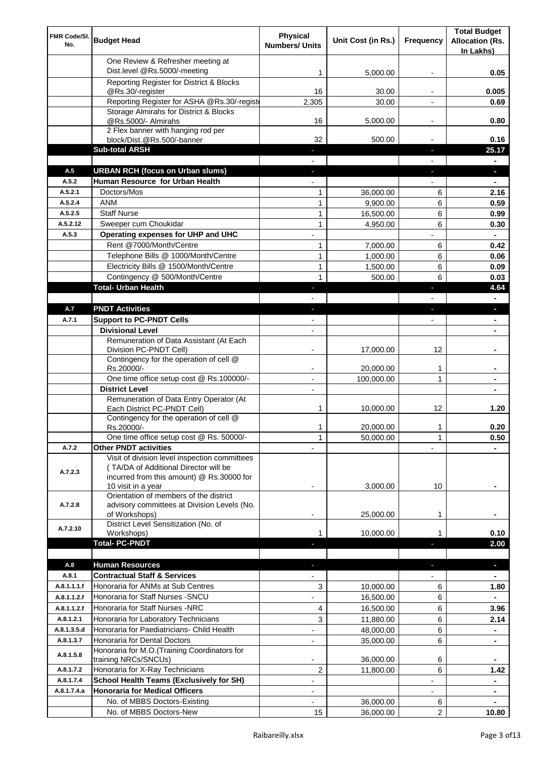| FMR Code/SI.<br>No. | <b>Budget Head</b>                                                                                                                  | Physical<br><b>Numbers/ Units</b> | Unit Cost (in Rs.) | Frequency                | <b>Total Budget</b><br><b>Allocation (Rs.</b><br>In Lakhs) |
|---------------------|-------------------------------------------------------------------------------------------------------------------------------------|-----------------------------------|--------------------|--------------------------|------------------------------------------------------------|
|                     | One Review & Refresher meeting at<br>Dist.level @Rs.5000/-meeting                                                                   | 1                                 | 5,000.00           |                          | 0.05                                                       |
|                     | Reporting Register for District & Blocks                                                                                            |                                   |                    |                          |                                                            |
|                     | @Rs.30/-register                                                                                                                    | 16                                | 30.00              |                          | 0.005                                                      |
|                     | Reporting Register for ASHA @Rs.30/-regist                                                                                          | 2,305                             | 30.00              |                          | 0.69                                                       |
|                     | Storage Almirahs for District & Blocks<br>@Rs.5000/- Almirahs                                                                       | 16                                | 5,000.00           | $\overline{\phantom{a}}$ | 0.80                                                       |
|                     | 2 Flex banner with hanging rod per                                                                                                  |                                   |                    |                          |                                                            |
|                     | block/Dist.@Rs.500/-banner                                                                                                          | 32                                | 500.00             |                          | 0.16                                                       |
|                     | <b>Sub-total ARSH</b>                                                                                                               | $\sim$                            |                    | $\sim$                   | 25.17                                                      |
| A.5                 | <b>URBAN RCH (focus on Urban slums)</b>                                                                                             |                                   |                    |                          | н.                                                         |
| A.5.2               | Human Resource for Urban Health                                                                                                     |                                   |                    |                          |                                                            |
| A.5.2.1             | Doctors/Mos                                                                                                                         | 1                                 | 36,000.00          | 6                        | 2.16                                                       |
| A.5.2.4             | <b>ANM</b>                                                                                                                          | $\mathbf{1}$                      | 9,900.00           | 6                        | 0.59                                                       |
| A.5.2.5<br>A.5.2.12 | <b>Staff Nurse</b><br>Sweeper cum Choukidar                                                                                         | $\mathbf{1}$                      | 16,500.00          | 6                        | 0.99                                                       |
| A.5.3               | Operating expenses for UHP and UHC                                                                                                  | $\mathbf{1}$                      | 4,950.00           | 6                        | 0.30<br>$\blacksquare$                                     |
|                     | Rent @7000/Month/Centre                                                                                                             | 1                                 | 7,000.00           | 6                        | 0.42                                                       |
|                     | Telephone Bills @ 1000/Month/Centre                                                                                                 | $\mathbf{1}$                      | 1,000.00           | 6                        | 0.06                                                       |
|                     | Electricity Bills @ 1500/Month/Centre                                                                                               | $\mathbf{1}$                      | 1,500.00           | 6                        | 0.09                                                       |
|                     | Contingency @ 500/Month/Centre                                                                                                      | 1                                 | 500.00             | 6                        | 0.03                                                       |
|                     | <b>Total- Urban Health</b>                                                                                                          | $\blacklozenge$                   |                    | ×                        | 4.64                                                       |
|                     |                                                                                                                                     |                                   |                    |                          | $\blacksquare$                                             |
| A.7                 | <b>PNDT Activities</b>                                                                                                              | ٠                                 |                    | ٠                        | ٠                                                          |
| A.7.1               | <b>Support to PC-PNDT Cells</b>                                                                                                     | $\blacksquare$                    |                    | $\blacksquare$           | ٠                                                          |
|                     | <b>Divisional Level</b>                                                                                                             | $\blacksquare$                    |                    |                          |                                                            |
|                     | Remuneration of Data Assistant (At Each<br>Division PC-PNDT Cell)                                                                   |                                   | 17,000.00          | 12                       |                                                            |
|                     | Contingency for the operation of cell @                                                                                             |                                   |                    |                          |                                                            |
|                     | Rs.20000/-                                                                                                                          |                                   | 20,000.00          | 1                        |                                                            |
|                     | One time office setup cost @ Rs.100000/-<br><b>District Level</b>                                                                   | $\overline{\phantom{a}}$          | 100,000.00         | 1                        |                                                            |
|                     | Remuneration of Data Entry Operator (At                                                                                             |                                   |                    |                          |                                                            |
|                     | Each District PC-PNDT Cell)                                                                                                         | 1                                 | 10,000.00          | 12                       | 1.20                                                       |
|                     | Contingency for the operation of cell @<br>Rs.20000/-                                                                               | 1                                 | 20,000.00          | 1                        | 0.20                                                       |
|                     | One time office setup cost @ Rs. 50000/-                                                                                            | $\mathbf{1}$                      | 50,000.00          | 1                        | 0.50                                                       |
| A.7.2               | <b>Other PNDT activities</b>                                                                                                        |                                   |                    |                          |                                                            |
| A.7.2.3             | Visit of division level inspection committees<br>(TA/DA of Additional Director will be<br>incurred from this amount) @ Rs.30000 for |                                   |                    |                          |                                                            |
|                     | 10 visit in a year<br>Orientation of members of the district                                                                        |                                   | 3,000.00           | 10                       |                                                            |
| A.7.2.8             | advisory committees at Division Levels (No.<br>of Workshops)                                                                        | ۰                                 | 25,000.00          | 1                        |                                                            |
| A.7.2.10            | District Level Sensitization (No. of<br>Workshops)                                                                                  |                                   | 10,000.00          |                          | 0.10                                                       |
|                     | <b>Total- PC-PNDT</b>                                                                                                               |                                   |                    |                          | 2.00                                                       |
|                     |                                                                                                                                     |                                   |                    |                          |                                                            |
| A.8                 | <b>Human Resources</b>                                                                                                              |                                   |                    |                          | ÷.                                                         |
| A.8.1               | <b>Contractual Staff &amp; Services</b>                                                                                             |                                   |                    |                          |                                                            |
| A.8.1.1.1.f         | Honoraria for ANMs at Sub Centres                                                                                                   | 3                                 | 10,000.00          | 6                        | 1.80                                                       |
| A.8.1.1.2.f         | Honoraria for Staff Nurses - SNCU                                                                                                   |                                   | 16,500.00          | 6                        |                                                            |
| A.8.1.1.2.f         | Honoraria for Staff Nurses -NRC                                                                                                     | 4                                 | 16,500.00          | 6                        | 3.96                                                       |
| A.8.1.2.1           | Honoraria for Laboratory Technicians                                                                                                | 3                                 | 11,880.00          | 6                        | 2.14                                                       |
| A.8.1.3.5.d         | Honoraria for Paediatricians- Child Health                                                                                          |                                   | 48,000.00          | 6                        |                                                            |
| A.8.1.3.7           | Honoraria for Dental Doctors                                                                                                        | $\blacksquare$                    | 35,000.00          | 6                        |                                                            |
| A.8.1.5.8           | Honoraria for M.O. (Training Coordinators for<br>training NRCs/SNCUs)                                                               |                                   | 36,000.00          | 6                        |                                                            |
| A.8.1.7.2           | Honoraria for X-Ray Technicians                                                                                                     | 2                                 | 11,800.00          | 6                        | 1.42                                                       |
| A.8.1.7.4           | <b>School Health Teams (Exclusively for SH)</b>                                                                                     |                                   |                    |                          |                                                            |
| A.8.1.7.4.a         | <b>Honoraria for Medical Officers</b>                                                                                               |                                   |                    |                          | ۰                                                          |
|                     | No. of MBBS Doctors-Existing                                                                                                        |                                   | 36,000.00          | 6                        | ۰                                                          |
|                     | No. of MBBS Doctors-New                                                                                                             | 15                                | 36,000.00          | $\overline{2}$           | 10.80                                                      |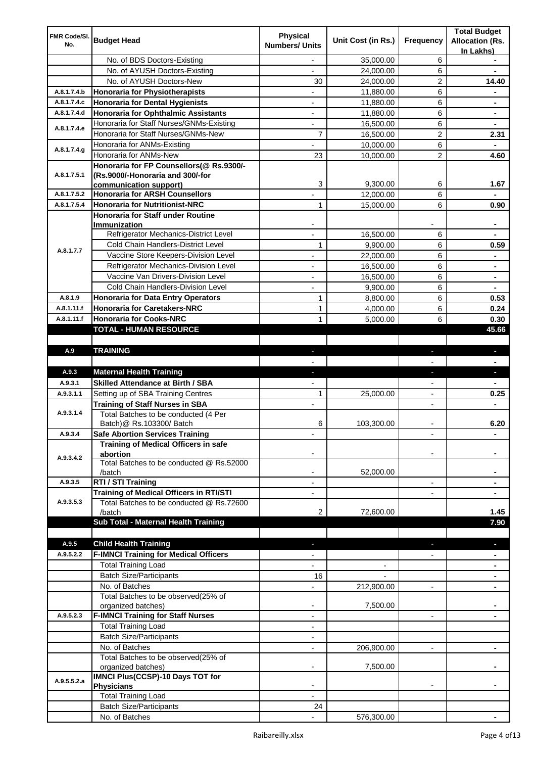|                     |                                                  | <b>Physical</b>          |                    |                          | <b>Total Budget</b>    |
|---------------------|--------------------------------------------------|--------------------------|--------------------|--------------------------|------------------------|
| FMR Code/SI.<br>No. | <b>Budget Head</b>                               | <b>Numbers/ Units</b>    | Unit Cost (in Rs.) | Frequency                | <b>Allocation (Rs.</b> |
|                     |                                                  |                          |                    |                          | In Lakhs)              |
|                     | No. of BDS Doctors-Existing                      | $\overline{\phantom{a}}$ | 35,000.00          | 6                        | ۰                      |
|                     | No. of AYUSH Doctors-Existing                    | $\overline{\phantom{a}}$ | 24,000.00          | 6                        | $\blacksquare$         |
|                     | No. of AYUSH Doctors-New                         | 30                       | 24,000.00          | 2                        | 14.40                  |
| A.8.1.7.4.b         | <b>Honoraria for Physiotherapists</b>            | $\overline{\phantom{a}}$ | 11,880.00          | 6                        | ۰                      |
| A.8.1.7.4.c         | <b>Honoraria for Dental Hygienists</b>           | $\overline{\phantom{a}}$ | 11,880.00          | 6                        | ۰                      |
| A.8.1.7.4.d         | <b>Honoraria for Ophthalmic Assistants</b>       | $\overline{\phantom{a}}$ | 11,880.00          | 6                        |                        |
| A.8.1.7.4.e         | Honoraria for Staff Nurses/GNMs-Existing         | $\blacksquare$           | 16,500.00          | 6                        | ۰                      |
|                     | Honoraria for Staff Nurses/GNMs-New              | $\overline{7}$           | 16,500.00          | $\overline{c}$           | 2.31                   |
|                     | Honoraria for ANMs-Existing                      |                          | 10,000.00          | 6                        |                        |
| A.8.1.7.4.g         | Honoraria for ANMs-New                           | 23                       | 10,000.00          | 2                        | 4.60                   |
|                     | Honoraria for FP Counsellors(@ Rs.9300/-         |                          |                    |                          |                        |
| A.8.1.7.5.1         | (Rs.9000/-Honoraria and 300/-for                 |                          |                    |                          |                        |
|                     | communication support)                           | 3                        | 9,300.00           | 6                        | 1.67                   |
| A.8.1.7.5.2         | <b>Honoraria for ARSH Counsellors</b>            |                          | 12,000.00          | 6                        |                        |
| A.8.1.7.5.4         | <b>Honoraria for Nutritionist-NRC</b>            | 1                        | 15,000.00          | 6                        | 0.90                   |
|                     | Honoraria for Staff under Routine                |                          |                    |                          |                        |
|                     | Immunization                                     |                          |                    |                          |                        |
|                     | Refrigerator Mechanics-District Level            |                          | 16,500.00          | 6                        |                        |
| A.8.1.7.7           | Cold Chain Handlers-District Level               | 1                        | 9,900.00           | 6                        | 0.59                   |
|                     | Vaccine Store Keepers-Division Level             |                          | 22,000.00          | 6                        | ۰                      |
|                     | Refrigerator Mechanics-Division Level            | $\blacksquare$           | 16,500.00          | 6                        | ۰                      |
|                     | Vaccine Van Drivers-Division Level               | $\overline{\phantom{a}}$ | 16,500.00          | 6                        | $\blacksquare$         |
|                     | Cold Chain Handlers-Division Level               | $\blacksquare$           | 9,900.00           | 6                        | $\blacksquare$         |
| A.8.1.9             | <b>Honoraria for Data Entry Operators</b>        | 1                        | 8,800.00           | 6                        | 0.53                   |
| A.8.1.11.f          | <b>Honoraria for Caretakers-NRC</b>              | 1                        | 4,000.00           | 6                        | 0.24                   |
| A.8.1.11.f          | <b>Honoraria for Cooks-NRC</b>                   | 1                        | 5,000.00           | 6                        | 0.30                   |
|                     | TOTAL - HUMAN RESOURCE                           |                          |                    |                          | 45.66                  |
|                     |                                                  |                          |                    |                          |                        |
| A.9                 | <b>TRAINING</b>                                  | ٠                        |                    | ٠                        | ٠                      |
|                     |                                                  |                          |                    |                          |                        |
| A.9.3               | <b>Maternal Health Training</b>                  | ٠                        |                    | ÷.                       | ٠                      |
| A.9.3.1             | <b>Skilled Attendance at Birth / SBA</b>         |                          |                    |                          | $\blacksquare$         |
|                     |                                                  |                          |                    |                          |                        |
| A.9.3.1.1           | Setting up of SBA Training Centres               | 1                        | 25,000.00          | $\blacksquare$           | 0.25                   |
|                     | <b>Training of Staff Nurses in SBA</b>           | $\blacksquare$           |                    | $\blacksquare$           |                        |
| A.9.3.1.4           | Total Batches to be conducted (4 Per             |                          |                    |                          |                        |
|                     | Batch) @ Rs.103300/ Batch                        | 6                        | 103,300.00         |                          | 6.20                   |
| A.9.3.4             | <b>Safe Abortion Services Training</b>           |                          |                    |                          | ۰                      |
|                     | Training of Medical Officers in safe             |                          |                    |                          |                        |
|                     | abortion                                         |                          |                    |                          |                        |
| A.9.3.4.2           | Total Batches to be conducted @ Rs.52000         |                          |                    |                          |                        |
|                     | /batch                                           |                          | 52,000.00          |                          |                        |
| A.9.3.5             | RTI / STI Training                               |                          |                    | $\blacksquare$           |                        |
|                     | <b>Training of Medical Officers in RTI/STI</b>   |                          |                    |                          |                        |
| A.9.3.5.3           | Total Batches to be conducted @ Rs.72600         |                          |                    |                          |                        |
|                     | /batch                                           | 2                        | 72,600.00          |                          | 1.45                   |
|                     | Sub Total - Maternal Health Training             |                          |                    |                          | 7.90                   |
|                     |                                                  |                          |                    |                          |                        |
| A.9.5               | <b>Child Health Training</b>                     |                          |                    |                          |                        |
| A.9.5.2.2           | <b>F-IMNCI Training for Medical Officers</b>     |                          |                    |                          |                        |
|                     | <b>Total Training Load</b>                       |                          |                    |                          |                        |
|                     | <b>Batch Size/Participants</b>                   | 16                       |                    |                          |                        |
|                     | No. of Batches                                   |                          | 212,900.00         | $\blacksquare$           |                        |
|                     | Total Batches to be observed(25% of              |                          |                    |                          |                        |
|                     | organized batches)                               | $\blacksquare$           | 7,500.00           |                          | ٠                      |
| A.9.5.2.3           | <b>F-IMNCI Training for Staff Nurses</b>         | $\overline{\phantom{a}}$ |                    | $\overline{\phantom{a}}$ | ٠                      |
|                     | <b>Total Training Load</b>                       | $\overline{\phantom{a}}$ |                    |                          |                        |
|                     | <b>Batch Size/Participants</b>                   | -                        |                    |                          |                        |
|                     | No. of Batches                                   | $\overline{\phantom{a}}$ | 206,900.00         |                          |                        |
|                     | Total Batches to be observed(25% of              |                          |                    |                          |                        |
|                     | organized batches)                               |                          | 7,500.00           |                          |                        |
| A.9.5.5.2.a         | <b>IMNCI Plus(CCSP)-10 Days TOT for</b>          |                          |                    | $\blacksquare$           |                        |
|                     | <b>Physicians</b>                                |                          |                    |                          |                        |
|                     | <b>Total Training Load</b>                       |                          |                    |                          |                        |
|                     | <b>Batch Size/Participants</b><br>No. of Batches | 24                       | 576,300.00         |                          |                        |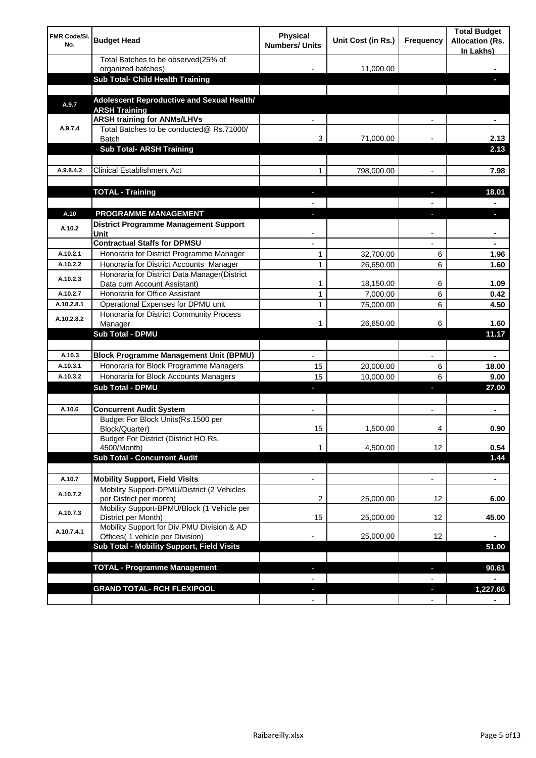| <b>FMR Code/SI.</b><br>No. | <b>Budget Head</b>                                                             | Physical<br><b>Numbers/ Units</b> | Unit Cost (in Rs.) | Frequency                | <b>Total Budget</b><br><b>Allocation (Rs.</b><br>In Lakhs) |
|----------------------------|--------------------------------------------------------------------------------|-----------------------------------|--------------------|--------------------------|------------------------------------------------------------|
|                            | Total Batches to be observed(25% of<br>organized batches)                      |                                   | 11,000.00          |                          |                                                            |
|                            | Sub Total- Child Health Training                                               |                                   |                    |                          |                                                            |
|                            |                                                                                |                                   |                    |                          |                                                            |
| A.9.7                      | Adolescent Reproductive and Sexual Health/<br><b>ARSH Training</b>             |                                   |                    |                          |                                                            |
|                            | <b>ARSH training for ANMs/LHVs</b>                                             |                                   |                    |                          |                                                            |
| A.9.7.4                    | Total Batches to be conducted@ Rs.71000/<br>Batch                              | 3                                 | 71,000.00          |                          | 2.13                                                       |
|                            | <b>Sub Total- ARSH Training</b>                                                |                                   |                    |                          | 2.13                                                       |
|                            |                                                                                |                                   |                    |                          |                                                            |
| A.9.8.4.2                  | <b>Clinical Establishment Act</b>                                              | 1                                 | 798,000.00         |                          | 7.98                                                       |
|                            | <b>TOTAL - Training</b>                                                        |                                   |                    |                          | 18.01                                                      |
|                            |                                                                                |                                   |                    |                          |                                                            |
| A.10                       | <b>PROGRAMME MANAGEMENT</b>                                                    |                                   |                    |                          |                                                            |
| A.10.2                     | <b>District Programme Management Support</b><br>Unit                           |                                   |                    |                          |                                                            |
|                            | <b>Contractual Staffs for DPMSU</b>                                            |                                   |                    |                          | ٠                                                          |
| A.10.2.1                   | Honoraria for District Programme Manager                                       | 1                                 | 32,700.00          | 6                        | 1.96                                                       |
| A.10.2.2                   | Honoraria for District Accounts Manager                                        | 1                                 | 26,650.00          | 6                        | 1.60                                                       |
| A.10.2.3                   | Honoraria for District Data Manager(District<br>Data cum Account Assistant)    | 1                                 | 18,150.00          | 6                        | 1.09                                                       |
| A.10.2.7                   | Honoraria for Office Assistant                                                 | 1                                 | 7,000.00           | 6                        | 0.42                                                       |
| A.10.2.8.1                 | Operational Expenses for DPMU unit                                             | 1                                 | 75,000.00          | 6                        | 4.50                                                       |
|                            | Honoraria for District Community Process                                       |                                   |                    |                          |                                                            |
| A.10.2.8.2                 | Manager                                                                        | 1                                 | 26,650.00          | 6                        | 1.60                                                       |
|                            | <b>Sub Total - DPMU</b>                                                        |                                   |                    |                          | 11.17                                                      |
| A.10.3                     | <b>Block Programme Management Unit (BPMU)</b>                                  |                                   |                    | $\overline{\phantom{a}}$ | ٠                                                          |
| A.10.3.1                   | Honoraria for Block Programme Managers                                         | 15                                | 20,000.00          | 6                        | 18.00                                                      |
| A.10.3.2                   | Honoraria for Block Accounts Managers                                          | 15                                | 10,000.00          | 6                        | 9.00                                                       |
|                            | <b>Sub Total - DPMU</b>                                                        | ٠                                 |                    | r                        | 27.00                                                      |
|                            |                                                                                |                                   |                    |                          |                                                            |
| A.10.6                     | <b>Concurrent Audit System</b>                                                 |                                   |                    |                          | ٠                                                          |
|                            | Budget For Block Units(Rs.1500 per<br>Block/Quarter)                           | 15                                | 1,500.00           |                          | 0.90                                                       |
|                            | Budget For District (District HO Rs.<br>4500/Month)                            | 1                                 | 4,500.00           | 12                       | 0.54                                                       |
|                            | <b>Sub Total - Concurrent Audit</b>                                            |                                   |                    |                          | 1.44                                                       |
|                            |                                                                                |                                   |                    |                          |                                                            |
| A.10.7                     | <b>Mobility Support, Field Visits</b>                                          |                                   |                    | $\overline{\phantom{a}}$ | $\blacksquare$                                             |
| A.10.7.2                   | Mobility Support-DPMU/District (2 Vehicles<br>per District per month)          | 2                                 | 25,000.00          | 12                       | 6.00                                                       |
| A.10.7.3                   | Mobility Support-BPMU/Block (1 Vehicle per<br>District per Month)              | 15                                | 25,000.00          | 12                       | 45.00                                                      |
| A.10.7.4.1                 | Mobility Support for Div.PMU Division & AD<br>Offices( 1 vehicle per Division) |                                   | 25,000.00          | 12                       |                                                            |
|                            | Sub Total - Mobility Support, Field Visits                                     |                                   |                    |                          | 51.00                                                      |
|                            |                                                                                |                                   |                    |                          |                                                            |
|                            | <b>TOTAL - Programme Management</b>                                            |                                   |                    | ı                        | 90.61                                                      |
|                            |                                                                                |                                   |                    |                          |                                                            |
|                            | <b>GRAND TOTAL- RCH FLEXIPOOL</b>                                              | E.                                |                    | J,                       | 1,227.66                                                   |
|                            |                                                                                | $\blacksquare$                    |                    | $\overline{\phantom{a}}$ |                                                            |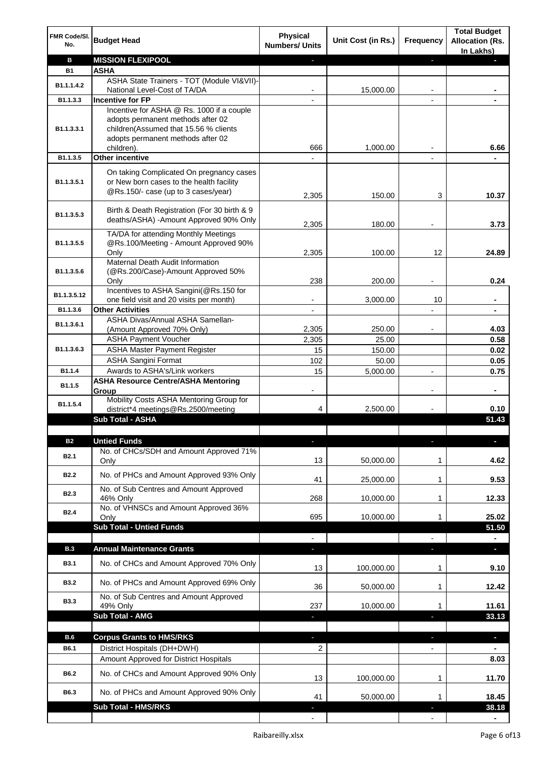| FMR Code/SI.<br>No. | <b>Budget Head</b>                                                                                                                                           | <b>Physical</b><br><b>Numbers/ Units</b> | Unit Cost (in Rs.) | Frequency      | <b>Total Budget</b><br><b>Allocation (Rs.</b><br>In Lakhs) |
|---------------------|--------------------------------------------------------------------------------------------------------------------------------------------------------------|------------------------------------------|--------------------|----------------|------------------------------------------------------------|
| в                   | <b>MISSION FLEXIPOOL</b>                                                                                                                                     |                                          |                    | ı              |                                                            |
| <b>B1</b>           | <b>ASHA</b>                                                                                                                                                  |                                          |                    |                |                                                            |
| B1.1.1.4.2          | ASHA State Trainers - TOT (Module VI&VII)-                                                                                                                   |                                          |                    |                |                                                            |
|                     | National Level-Cost of TA/DA                                                                                                                                 |                                          | 15,000.00          |                |                                                            |
| B1.1.3.3            | <b>Incentive for FP</b>                                                                                                                                      |                                          |                    |                |                                                            |
| B1.1.3.3.1          | Incentive for ASHA @ Rs. 1000 if a couple<br>adopts permanent methods after 02<br>children(Assumed that 15.56 % clients<br>adopts permanent methods after 02 |                                          |                    |                |                                                            |
| B1.1.3.5            | children).<br><b>Other incentive</b>                                                                                                                         | 666                                      | 1,000.00           |                | 6.66                                                       |
|                     |                                                                                                                                                              | $\overline{\phantom{a}}$                 |                    |                |                                                            |
| B1.1.3.5.1          | On taking Complicated On pregnancy cases<br>or New born cases to the health facility<br>@Rs.150/- case (up to 3 cases/year)                                  | 2,305                                    | 150.00             | 3              | 10.37                                                      |
| B1.1.3.5.3          | Birth & Death Registration (For 30 birth & 9<br>deaths/ASHA) -Amount Approved 90% Only                                                                       | 2,305                                    | 180.00             |                | 3.73                                                       |
|                     | TA/DA for attending Monthly Meetings                                                                                                                         |                                          |                    |                |                                                            |
| B1.1.3.5.5          | @Rs.100/Meeting - Amount Approved 90%                                                                                                                        |                                          |                    |                |                                                            |
|                     | Only                                                                                                                                                         | 2,305                                    | 100.00             | 12             | 24.89                                                      |
| B1.1.3.5.6          | Maternal Death Audit Information<br>(@Rs.200/Case)-Amount Approved 50%                                                                                       |                                          |                    |                |                                                            |
|                     | Only                                                                                                                                                         | 238                                      | 200.00             |                | 0.24                                                       |
|                     | Incentives to ASHA Sangini(@Rs.150 for                                                                                                                       |                                          |                    |                |                                                            |
| B1.1.3.5.12         | one field visit and 20 visits per month)                                                                                                                     |                                          | 3,000.00           | 10             | $\blacksquare$                                             |
| B1.1.3.6            | <b>Other Activities</b>                                                                                                                                      | $\overline{\phantom{a}}$                 |                    |                |                                                            |
| B1.1.3.6.1          | ASHA Divas/Annual ASHA Samellan-                                                                                                                             |                                          |                    |                |                                                            |
|                     | (Amount Approved 70% Only)<br><b>ASHA Payment Voucher</b>                                                                                                    | 2,305                                    | 250.00             |                | 4.03<br>0.58                                               |
| B1.1.3.6.3          |                                                                                                                                                              | 2,305<br>15                              | 25.00              |                | 0.02                                                       |
|                     | <b>ASHA Master Payment Register</b><br><b>ASHA Sangini Format</b>                                                                                            | 102                                      | 150.00<br>50.00    |                | 0.05                                                       |
| B1.1.4              | Awards to ASHA's/Link workers                                                                                                                                | 15                                       | 5,000.00           |                | 0.75                                                       |
|                     | <b>ASHA Resource Centre/ASHA Mentoring</b>                                                                                                                   |                                          |                    |                |                                                            |
| B1.1.5              | Group                                                                                                                                                        | $\overline{\phantom{a}}$                 |                    | $\overline{a}$ | $\blacksquare$                                             |
| B1.1.5.4            | Mobility Costs ASHA Mentoring Group for<br>district*4 meetings@Rs.2500/meeting                                                                               | 4                                        | 2,500.00           |                | 0.10                                                       |
|                     | <b>Sub Total - ASHA</b>                                                                                                                                      |                                          |                    |                | 51.43                                                      |
|                     |                                                                                                                                                              |                                          |                    |                |                                                            |
| <b>B2</b>           | <b>Untied Funds</b>                                                                                                                                          |                                          |                    |                |                                                            |
| B <sub>2.1</sub>    | No. of CHCs/SDH and Amount Approved 71%<br>Only                                                                                                              | 13                                       | 50,000.00          | 1              | 4.62                                                       |
| <b>B2.2</b>         | No. of PHCs and Amount Approved 93% Only                                                                                                                     | 41                                       | 25,000.00          | 1              | 9.53                                                       |
| <b>B2.3</b>         | No. of Sub Centres and Amount Approved                                                                                                                       |                                          |                    |                |                                                            |
|                     | 46% Only                                                                                                                                                     | 268                                      | 10,000.00          | 1              | 12.33                                                      |
| <b>B2.4</b>         | No. of VHNSCs and Amount Approved 36%                                                                                                                        | 695                                      | 10,000.00          | 1              | 25.02                                                      |
|                     | Only<br><b>Sub Total - Untied Funds</b>                                                                                                                      |                                          |                    |                | 51.50                                                      |
|                     |                                                                                                                                                              |                                          |                    |                |                                                            |
| <b>B.3</b>          | <b>Annual Maintenance Grants</b>                                                                                                                             | ٠                                        |                    |                | $\overline{\phantom{a}}$                                   |
| <b>B3.1</b>         | No. of CHCs and Amount Approved 70% Only                                                                                                                     | 13                                       | 100,000.00         | 1              | 9.10                                                       |
| <b>B3.2</b>         | No. of PHCs and Amount Approved 69% Only                                                                                                                     | 36                                       | 50,000.00          | 1              | 12.42                                                      |
| <b>B3.3</b>         | No. of Sub Centres and Amount Approved                                                                                                                       |                                          |                    |                |                                                            |
|                     | 49% Only<br>Sub Total - AMG                                                                                                                                  | 237                                      | 10,000.00          | 1              | 11.61                                                      |
|                     |                                                                                                                                                              | ٠                                        |                    | T              | 33.13                                                      |
| <b>B.6</b>          | <b>Corpus Grants to HMS/RKS</b>                                                                                                                              | a,                                       |                    | T              | ٠                                                          |
| B6.1                | District Hospitals (DH+DWH)                                                                                                                                  | 2                                        |                    |                |                                                            |
|                     | Amount Approved for District Hospitals                                                                                                                       |                                          |                    |                | 8.03                                                       |
| B6.2                | No. of CHCs and Amount Approved 90% Only                                                                                                                     | 13                                       | 100,000.00         | 1              | 11.70                                                      |
| B6.3                | No. of PHCs and Amount Approved 90% Only                                                                                                                     | 41                                       | 50,000.00          | 1              | 18.45                                                      |
|                     | <b>Sub Total - HMS/RKS</b>                                                                                                                                   |                                          |                    |                | 38.18                                                      |
|                     |                                                                                                                                                              |                                          |                    |                |                                                            |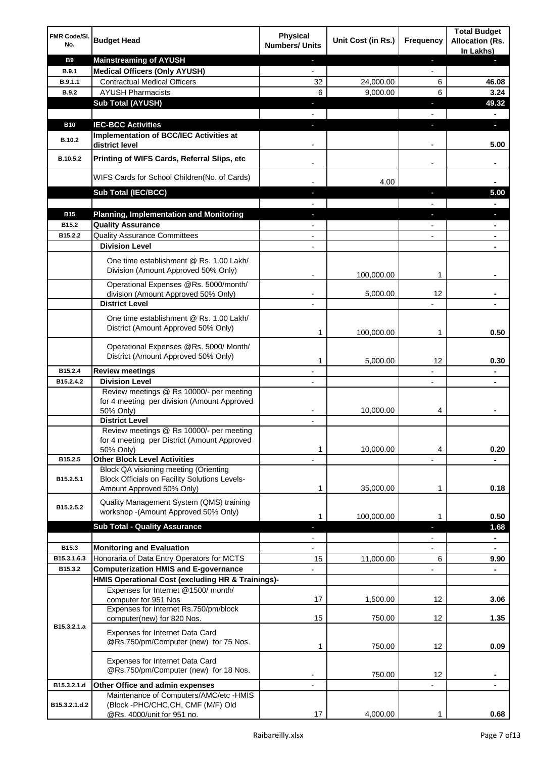| FMR Code/SI.<br>No.    | <b>Budget Head</b>                                                                      | <b>Physical</b><br><b>Numbers/ Units</b> | Unit Cost (in Rs.) | <b>Frequency</b>         | <b>Total Budget</b><br><b>Allocation (Rs.</b><br>In Lakhs) |
|------------------------|-----------------------------------------------------------------------------------------|------------------------------------------|--------------------|--------------------------|------------------------------------------------------------|
| <b>B9</b>              | <b>Mainstreaming of AYUSH</b>                                                           | ٠                                        |                    | ٠                        |                                                            |
| <b>B.9.1</b>           | <b>Medical Officers (Only AYUSH)</b>                                                    | $\overline{\phantom{a}}$                 |                    | $\overline{\phantom{a}}$ |                                                            |
| B.9.1.1                | <b>Contractual Medical Officers</b>                                                     | 32                                       | 24,000.00          | 6                        | 46.08                                                      |
| B.9.2                  | <b>AYUSH Pharmacists</b>                                                                | 6                                        | 9,000.00           | 6                        | 3.24                                                       |
|                        | <b>Sub Total (AYUSH)</b>                                                                | ٠                                        |                    | п                        | 49.32                                                      |
|                        |                                                                                         |                                          |                    |                          |                                                            |
| <b>B10</b>             | <b>IEC-BCC Activities</b>                                                               | $\blacksquare$                           |                    | T                        | D.                                                         |
|                        | Implementation of BCC/IEC Activities at                                                 |                                          |                    |                          |                                                            |
| <b>B.10.2</b>          | district level                                                                          |                                          |                    |                          | 5.00                                                       |
| B.10.5.2               | Printing of WIFS Cards, Referral Slips, etc                                             | $\overline{\phantom{a}}$                 |                    | -                        | ٠                                                          |
|                        | WIFS Cards for School Children(No. of Cards)                                            |                                          | 4.00               |                          |                                                            |
|                        | Sub Total (IEC/BCC)                                                                     |                                          |                    |                          | 5.00                                                       |
| <b>B15</b>             | <b>Planning, Implementation and Monitoring</b>                                          |                                          |                    |                          |                                                            |
| B15.2                  | <b>Quality Assurance</b>                                                                |                                          |                    |                          |                                                            |
| B15.2.2                | <b>Quality Assurance Committees</b>                                                     |                                          |                    |                          |                                                            |
|                        | <b>Division Level</b>                                                                   |                                          |                    |                          |                                                            |
|                        | One time establishment @ Rs. 1.00 Lakh/                                                 |                                          |                    |                          |                                                            |
|                        | Division (Amount Approved 50% Only)                                                     |                                          |                    |                          |                                                            |
|                        |                                                                                         |                                          | 100,000.00         | 1                        |                                                            |
|                        | Operational Expenses @Rs. 5000/month/                                                   |                                          |                    |                          |                                                            |
|                        | division (Amount Approved 50% Only)                                                     |                                          | 5,000.00           | 12                       |                                                            |
|                        | <b>District Level</b>                                                                   |                                          |                    |                          |                                                            |
|                        | One time establishment @ Rs. 1.00 Lakh/<br>District (Amount Approved 50% Only)          | 1                                        | 100,000.00         | 1                        | 0.50                                                       |
|                        |                                                                                         |                                          |                    |                          |                                                            |
|                        | Operational Expenses @Rs. 5000/ Month/<br>District (Amount Approved 50% Only)           | 1                                        | 5,000.00           | $12 \overline{ }$        | 0.30                                                       |
| B15.2.4                | <b>Review meetings</b>                                                                  |                                          |                    |                          |                                                            |
| B15.2.4.2              | <b>Division Level</b>                                                                   |                                          |                    | ٠                        |                                                            |
|                        | Review meetings @ Rs 10000/- per meeting<br>for 4 meeting per division (Amount Approved |                                          |                    |                          |                                                            |
|                        | 50% Only)                                                                               |                                          | 10,000.00          | 4                        |                                                            |
|                        | <b>District Level</b><br>Review meetings @ Rs 10000/- per meeting                       |                                          |                    |                          |                                                            |
|                        | for 4 meeting per District (Amount Approved                                             |                                          |                    |                          |                                                            |
|                        | 50% Only)                                                                               | 1                                        | 10,000.00          | 4                        | 0.20                                                       |
| B15.2.5                | <b>Other Block Level Activities</b>                                                     |                                          |                    |                          |                                                            |
| B15.2.5.1              | Block QA visioning meeting (Orienting<br>Block Officials on Facility Solutions Levels-  |                                          |                    |                          |                                                            |
|                        | Amount Approved 50% Only)                                                               | 1                                        | 35,000.00          | 1                        | 0.18                                                       |
| B <sub>15.2</sub> .5.2 | Quality Management System (QMS) training<br>workshop -(Amount Approved 50% Only)        | 1                                        | 100,000.00         | 1                        | 0.50                                                       |
|                        | <b>Sub Total - Quality Assurance</b>                                                    |                                          |                    |                          | 1.68                                                       |
|                        |                                                                                         |                                          |                    | $\overline{a}$           | $\blacksquare$                                             |
| B15.3                  | <b>Monitoring and Evaluation</b>                                                        |                                          |                    |                          |                                                            |
| B15.3.1.6.3            | Honoraria of Data Entry Operators for MCTS                                              | 15                                       | 11,000.00          | 6                        | 9.90                                                       |
| B15.3.2                | <b>Computerization HMIS and E-governance</b>                                            |                                          |                    | $\overline{a}$           | $\blacksquare$                                             |
|                        | HMIS Operational Cost (excluding HR & Trainings)-                                       |                                          |                    |                          |                                                            |
|                        | Expenses for Internet @1500/month/                                                      |                                          |                    |                          |                                                            |
|                        | computer for 951 Nos<br>Expenses for Internet Rs.750/pm/block                           | 17                                       | 1,500.00           | 12                       | 3.06                                                       |
| B15.3.2.1.a            | computer(new) for 820 Nos.                                                              | 15                                       | 750.00             | 12                       | 1.35                                                       |
|                        | Expenses for Internet Data Card<br>@Rs.750/pm/Computer (new) for 75 Nos.                | 1                                        | 750.00             | 12                       | 0.09                                                       |
|                        | Expenses for Internet Data Card<br>@Rs.750/pm/Computer (new) for 18 Nos.                |                                          | 750.00             | 12                       |                                                            |
| B15.3.2.1.d            | Other Office and admin expenses                                                         |                                          |                    |                          |                                                            |
|                        | Maintenance of Computers/AMC/etc -HMIS                                                  |                                          |                    |                          |                                                            |
| B15.3.2.1.d.2          | (Block -PHC/CHC, CH, CMF (M/F) Old<br>@Rs. 4000/unit for 951 no.                        | 17                                       | 4,000.00           | 1                        | 0.68                                                       |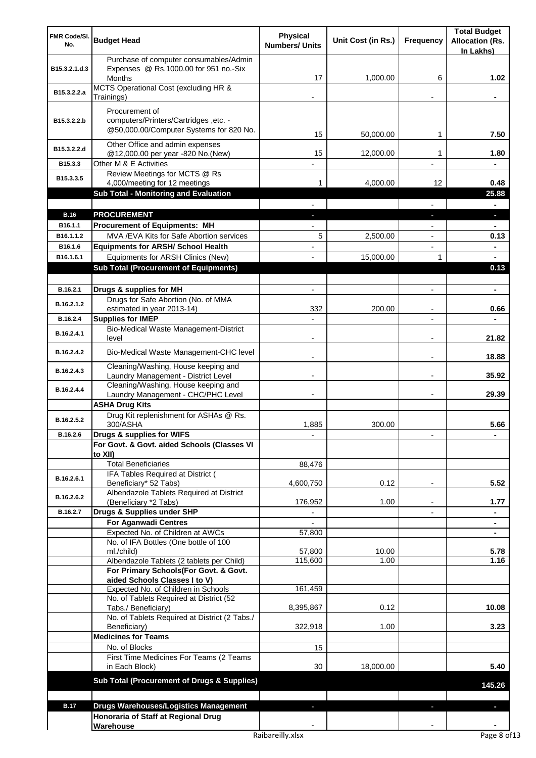| FMR Code/SI.<br>No.  | <b>Budget Head</b>                                                                                 | <b>Physical</b><br><b>Numbers/ Units</b> | Unit Cost (in Rs.) | Frequency      | <b>Total Budget</b><br><b>Allocation (Rs.</b><br>In Lakhs) |
|----------------------|----------------------------------------------------------------------------------------------------|------------------------------------------|--------------------|----------------|------------------------------------------------------------|
| B15.3.2.1.d.3        | Purchase of computer consumables/Admin<br>Expenses @ Rs.1000.00 for 951 no.-Six<br>Months          | 17                                       | 1,000.00           | 6              | 1.02                                                       |
| B15.3.2.2.a          | MCTS Operational Cost (excluding HR &<br>Trainings)                                                |                                          |                    |                |                                                            |
| B15.3.2.2.b          | Procurement of<br>computers/Printers/Cartridges, etc. -<br>@50,000.00/Computer Systems for 820 No. | 15                                       | 50,000.00          | 1              | 7.50                                                       |
| B15.3.2.2.d          | Other Office and admin expenses<br>@12,000.00 per year -820 No.(New)                               | 15                                       | 12,000.00          | 1              | 1.80                                                       |
| B15.3.3              | Other M & E Activities                                                                             |                                          |                    | $\overline{a}$ | $\blacksquare$                                             |
| B15.3.3.5            | Review Meetings for MCTS @ Rs<br>4,000/meeting for 12 meetings                                     | 1                                        | 4,000.00           | 12             | 0.48                                                       |
|                      | <b>Sub Total - Monitoring and Evaluation</b>                                                       |                                          |                    |                | 25.88                                                      |
|                      |                                                                                                    |                                          |                    |                |                                                            |
| <b>B.16</b>          | <b>PROCUREMENT</b>                                                                                 |                                          |                    |                |                                                            |
| B16.1.1              | <b>Procurement of Equipments: MH</b>                                                               |                                          |                    |                |                                                            |
| B16.1.1.2<br>B16.1.6 | MVA / EVA Kits for Safe Abortion services                                                          | 5                                        | 2,500.00           |                | 0.13                                                       |
| B16.1.6.1            | <b>Equipments for ARSH/ School Health</b><br>Equipments for ARSH Clinics (New)                     |                                          | 15,000.00          | 1              |                                                            |
|                      | <b>Sub Total (Procurement of Equipments)</b>                                                       |                                          |                    |                | 0.13                                                       |
|                      |                                                                                                    |                                          |                    |                |                                                            |
| B.16.2.1             | Drugs & supplies for MH                                                                            |                                          |                    |                |                                                            |
| B.16.2.1.2           | Drugs for Safe Abortion (No. of MMA<br>estimated in year 2013-14)                                  | 332                                      | 200.00             |                | 0.66                                                       |
| B.16.2.4             | <b>Supplies for IMEP</b>                                                                           |                                          |                    |                |                                                            |
| B.16.2.4.1           | Bio-Medical Waste Management-District<br>level                                                     |                                          |                    |                | 21.82                                                      |
| B.16.2.4.2           | Bio-Medical Waste Management-CHC level                                                             |                                          |                    |                | 18.88                                                      |
| B.16.2.4.3           | Cleaning/Washing, House keeping and<br>Laundry Management - District Level                         |                                          |                    |                | 35.92                                                      |
| B.16.2.4.4           | Cleaning/Washing, House keeping and<br>Laundry Management - CHC/PHC Level                          |                                          |                    |                | 29.39                                                      |
|                      | <b>ASHA Drug Kits</b>                                                                              |                                          |                    |                |                                                            |
| B.16.2.5.2           | Drug Kit replenishment for ASHAs @ Rs.<br>300/ASHA                                                 | 1,885                                    | 300.00             |                | 5.66                                                       |
| B.16.2.6             | Drugs & supplies for WIFS<br>For Govt. & Govt. aided Schools (Classes VI                           |                                          |                    |                |                                                            |
|                      | to XII)                                                                                            |                                          |                    |                |                                                            |
|                      | <b>Total Beneficiaries</b>                                                                         | 88,476                                   |                    |                |                                                            |
| B.16.2.6.1           | IFA Tables Required at District (                                                                  |                                          |                    |                |                                                            |
| B.16.2.6.2           | Beneficiary* 52 Tabs)<br>Albendazole Tablets Required at District                                  | 4,600,750                                | 0.12               | $\blacksquare$ | 5.52                                                       |
|                      | (Beneficiary *2 Tabs)                                                                              | 176,952                                  | 1.00               |                | 1.77                                                       |
| B.16.2.7             | Drugs & Supplies under SHP                                                                         |                                          |                    |                |                                                            |
|                      | For Aganwadi Centres<br>Expected No. of Children at AWCs                                           | 57,800                                   |                    |                |                                                            |
|                      | No. of IFA Bottles (One bottle of 100                                                              |                                          |                    |                |                                                            |
|                      | ml./child)                                                                                         | 57,800                                   | 10.00              |                | 5.78                                                       |
|                      | Albendazole Tablets (2 tablets per Child)                                                          | 115,600                                  | 1.00               |                | 1.16                                                       |
|                      | For Primary Schools(For Govt. & Govt.                                                              |                                          |                    |                |                                                            |
|                      | aided Schools Classes I to V)<br>Expected No. of Children in Schools                               | 161,459                                  |                    |                |                                                            |
|                      | No. of Tablets Required at District (52                                                            |                                          |                    |                |                                                            |
|                      | Tabs./ Beneficiary)<br>No. of Tablets Required at District (2 Tabs./                               | 8,395,867                                | 0.12               |                | 10.08                                                      |
|                      | Beneficiary)                                                                                       | 322,918                                  | 1.00               |                | 3.23                                                       |
|                      | <b>Medicines for Teams</b><br>No. of Blocks                                                        |                                          |                    |                |                                                            |
|                      | First Time Medicines For Teams (2 Teams                                                            | 15                                       |                    |                |                                                            |
|                      | in Each Block)                                                                                     | 30                                       | 18,000.00          |                | 5.40                                                       |
|                      | Sub Total (Procurement of Drugs & Supplies)                                                        |                                          |                    |                | 145.26                                                     |
|                      |                                                                                                    |                                          |                    |                |                                                            |
| <b>B.17</b>          | <b>Drugs Warehouses/Logistics Management</b>                                                       |                                          |                    |                |                                                            |
|                      | Honoraria of Staff at Regional Drug                                                                |                                          |                    |                |                                                            |
|                      | Warehouse                                                                                          |                                          |                    |                |                                                            |
|                      |                                                                                                    | Raibareilly.xlsx                         |                    |                | Page 8 of 13                                               |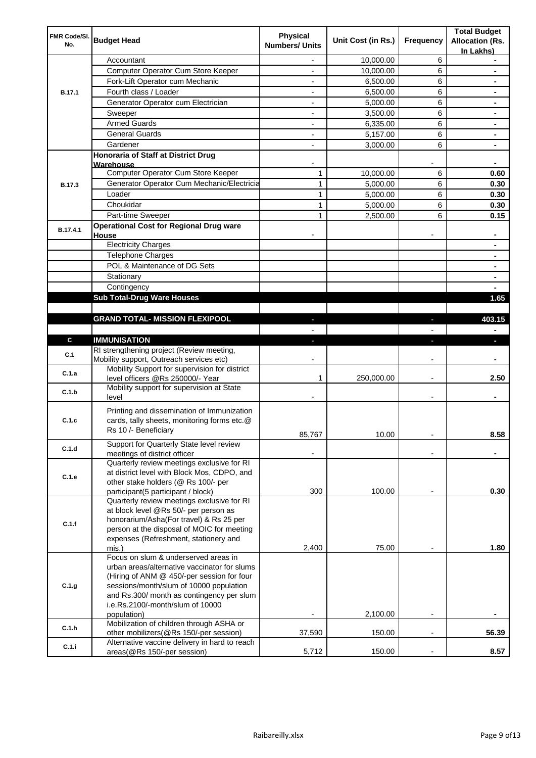| FMR Code/SI.<br>No. | <b>Budget Head</b>                                                                                                                                                                                                                                                            | <b>Physical</b><br><b>Numbers/ Units</b> | Unit Cost (in Rs.) | Frequency                | <b>Total Budget</b><br><b>Allocation (Rs.</b><br>In Lakhs) |
|---------------------|-------------------------------------------------------------------------------------------------------------------------------------------------------------------------------------------------------------------------------------------------------------------------------|------------------------------------------|--------------------|--------------------------|------------------------------------------------------------|
|                     | Accountant                                                                                                                                                                                                                                                                    | $\overline{a}$                           | 10,000.00          | 6                        |                                                            |
|                     | Computer Operator Cum Store Keeper                                                                                                                                                                                                                                            | $\overline{\phantom{0}}$                 | 10,000.00          | 6                        | ۰                                                          |
|                     | Fork-Lift Operator cum Mechanic                                                                                                                                                                                                                                               | $\overline{\phantom{0}}$                 | 6,500.00           | 6                        |                                                            |
| <b>B.17.1</b>       | Fourth class / Loader                                                                                                                                                                                                                                                         | $\overline{\phantom{0}}$                 | 6,500.00           | 6                        | ٠                                                          |
|                     | Generator Operator cum Electrician                                                                                                                                                                                                                                            | $\overline{\phantom{0}}$                 | 5,000.00           | 6                        | ٠                                                          |
|                     | Sweeper                                                                                                                                                                                                                                                                       | $\overline{\phantom{a}}$                 | 3,500.00           | 6                        | ٠                                                          |
|                     | <b>Armed Guards</b>                                                                                                                                                                                                                                                           | $\overline{\phantom{0}}$                 | 6,335.00           | 6                        | ۰                                                          |
|                     | <b>General Guards</b>                                                                                                                                                                                                                                                         | $\overline{\phantom{a}}$                 | 5,157.00           | 6                        | ۰                                                          |
|                     | Gardener                                                                                                                                                                                                                                                                      | ۰                                        | 3,000.00           | 6                        | ۰                                                          |
|                     | <b>Honoraria of Staff at District Drug</b>                                                                                                                                                                                                                                    |                                          |                    |                          |                                                            |
|                     | Warehouse                                                                                                                                                                                                                                                                     |                                          |                    |                          | ۰                                                          |
|                     | Computer Operator Cum Store Keeper                                                                                                                                                                                                                                            | 1                                        | 10,000.00          | 6                        | 0.60                                                       |
| <b>B.17.3</b>       | Generator Operator Cum Mechanic/Electricia                                                                                                                                                                                                                                    | $\mathbf{1}$                             | 5,000.00           | 6                        | 0.30                                                       |
|                     | Loader                                                                                                                                                                                                                                                                        | $\mathbf{1}$                             | 5,000.00           | 6                        | 0.30                                                       |
|                     | Choukidar                                                                                                                                                                                                                                                                     | $\mathbf{1}$                             | 5,000.00           | 6                        | 0.30                                                       |
|                     | Part-time Sweeper                                                                                                                                                                                                                                                             | $\mathbf{1}$                             | 2,500.00           | 6                        | 0.15                                                       |
| B.17.4.1            | <b>Operational Cost for Regional Drug ware</b><br>House                                                                                                                                                                                                                       |                                          |                    |                          |                                                            |
|                     | <b>Electricity Charges</b>                                                                                                                                                                                                                                                    |                                          |                    |                          |                                                            |
|                     | Telephone Charges                                                                                                                                                                                                                                                             |                                          |                    |                          |                                                            |
|                     | POL & Maintenance of DG Sets                                                                                                                                                                                                                                                  |                                          |                    |                          |                                                            |
|                     | Stationary                                                                                                                                                                                                                                                                    |                                          |                    |                          |                                                            |
|                     | Contingency                                                                                                                                                                                                                                                                   |                                          |                    |                          |                                                            |
|                     | <b>Sub Total-Drug Ware Houses</b>                                                                                                                                                                                                                                             |                                          |                    |                          | 1.65                                                       |
|                     |                                                                                                                                                                                                                                                                               |                                          |                    |                          |                                                            |
|                     | <b>GRAND TOTAL- MISSION FLEXIPOOL</b>                                                                                                                                                                                                                                         | ٠                                        |                    |                          | 403.15                                                     |
|                     |                                                                                                                                                                                                                                                                               | $\overline{\phantom{0}}$                 |                    |                          |                                                            |
| C                   | <b>IMMUNISATION</b><br>RI strengthening project (Review meeting,                                                                                                                                                                                                              | $\overline{\phantom{a}}$                 |                    | r                        | ı                                                          |
| C.1                 | Mobility support, Outreach services etc)                                                                                                                                                                                                                                      |                                          |                    |                          |                                                            |
| C.1.a               | Mobility Support for supervision for district<br>level officers @Rs 250000/- Year                                                                                                                                                                                             | 1                                        | 250,000.00         | $\overline{\phantom{a}}$ | 2.50                                                       |
|                     | Mobility support for supervision at State                                                                                                                                                                                                                                     |                                          |                    |                          |                                                            |
| C.1.b               | level                                                                                                                                                                                                                                                                         |                                          |                    | $\blacksquare$           | ۰                                                          |
| C.1.c               | Printing and dissemination of Immunization<br>cards, tally sheets, monitoring forms etc.@<br>Rs 10 /- Beneficiary                                                                                                                                                             |                                          |                    |                          |                                                            |
|                     | Support for Quarterly State level review                                                                                                                                                                                                                                      | 85,767                                   | 10.00              |                          | 8.58                                                       |
| C.1.d               | meetings of district officer                                                                                                                                                                                                                                                  | $\overline{\phantom{0}}$                 |                    |                          | ۰                                                          |
| C.1.e               | Quarterly review meetings exclusive for RI<br>at district level with Block Mos, CDPO, and                                                                                                                                                                                     |                                          |                    |                          |                                                            |
|                     | other stake holders (@ Rs 100/- per<br>participant(5 participant / block)                                                                                                                                                                                                     | 300                                      | 100.00             |                          | 0.30                                                       |
|                     | Quarterly review meetings exclusive for RI                                                                                                                                                                                                                                    |                                          |                    |                          |                                                            |
| C.1.f               | at block level @Rs 50/- per person as<br>honorarium/Asha(For travel) & Rs 25 per<br>person at the disposal of MOIC for meeting<br>expenses (Refreshment, stationery and                                                                                                       |                                          |                    |                          |                                                            |
|                     | mis.)                                                                                                                                                                                                                                                                         | 2,400                                    | 75.00              |                          | 1.80                                                       |
| C.1.g               | Focus on slum & underserved areas in<br>urban areas/alternative vaccinator for slums<br>(Hiring of ANM @ 450/-per session for four<br>sessions/month/slum of 10000 population<br>and Rs.300/ month as contingency per slum<br>i.e.Rs.2100/-month/slum of 10000<br>population) |                                          | 2,100.00           |                          |                                                            |
|                     | Mobilization of children through ASHA or                                                                                                                                                                                                                                      |                                          |                    |                          |                                                            |
| C.1.h               | other mobilizers (@Rs 150/-per session)<br>Alternative vaccine delivery in hard to reach                                                                                                                                                                                      | 37,590                                   | 150.00             | $\overline{a}$           | 56.39                                                      |
| C.1.i               | areas(@Rs 150/-per session)                                                                                                                                                                                                                                                   | 5,712                                    | 150.00             |                          | 8.57                                                       |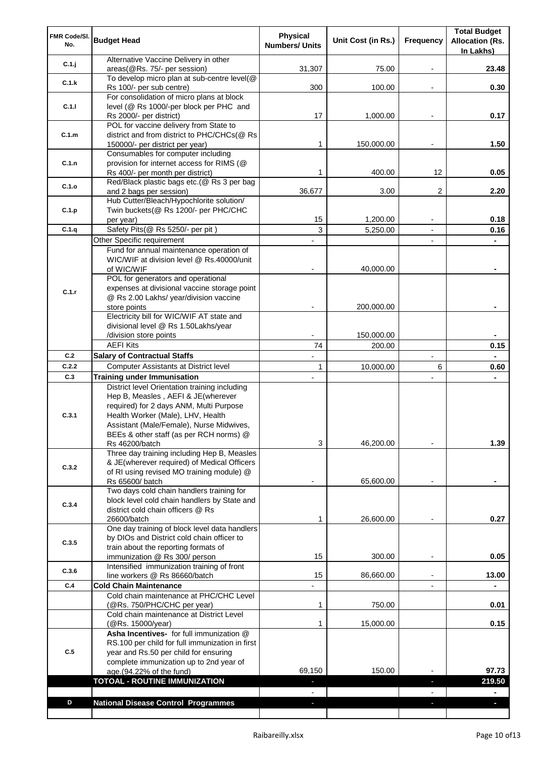| FMR Code/SI.<br>No. | <b>Budget Head</b>                                                                                                                                                                                                          | <b>Physical</b><br><b>Numbers/ Units</b> | Unit Cost (in Rs.) | Frequency | <b>Total Budget</b><br><b>Allocation (Rs.</b><br>In Lakhs) |
|---------------------|-----------------------------------------------------------------------------------------------------------------------------------------------------------------------------------------------------------------------------|------------------------------------------|--------------------|-----------|------------------------------------------------------------|
| C.1.j               | Alternative Vaccine Delivery in other<br>areas(@Rs. 75/- per session)                                                                                                                                                       | 31,307                                   | 75.00              |           | 23.48                                                      |
| C.1.k               | To develop micro plan at sub-centre level(@                                                                                                                                                                                 |                                          |                    |           |                                                            |
|                     | Rs 100/- per sub centre)<br>For consolidation of micro plans at block                                                                                                                                                       | 300                                      | 100.00             |           | 0.30                                                       |
| C.1.1               | level (@ Rs 1000/-per block per PHC and                                                                                                                                                                                     |                                          |                    |           |                                                            |
|                     | Rs 2000/- per district)                                                                                                                                                                                                     | 17                                       | 1,000.00           |           | 0.17                                                       |
| C.1.m               | POL for vaccine delivery from State to<br>district and from district to PHC/CHCs(@ Rs                                                                                                                                       |                                          |                    |           |                                                            |
|                     | 150000/- per district per year)                                                                                                                                                                                             | 1                                        | 150,000.00         |           | 1.50                                                       |
|                     | Consumables for computer including                                                                                                                                                                                          |                                          |                    |           |                                                            |
| C.1.n               | provision for internet access for RIMS (@                                                                                                                                                                                   |                                          |                    |           |                                                            |
|                     | Rs 400/- per month per district)<br>Red/Black plastic bags etc.(@ Rs 3 per bag                                                                                                                                              | 1                                        | 400.00             | 12        | 0.05                                                       |
| C.1.o               | and 2 bags per session)                                                                                                                                                                                                     | 36,677                                   | 3.00               | 2         | 2.20                                                       |
|                     | Hub Cutter/Bleach/Hypochlorite solution/                                                                                                                                                                                    |                                          |                    |           |                                                            |
| C.1.p               | Twin buckets (@ Rs 1200/- per PHC/CHC<br>per year)                                                                                                                                                                          | 15                                       | 1,200.00           |           | 0.18                                                       |
| C.1.q               | Safety Pits(@ Rs 5250/- per pit)                                                                                                                                                                                            | 3                                        | 5,250.00           |           | 0.16                                                       |
|                     | Other Specific requirement                                                                                                                                                                                                  |                                          |                    |           |                                                            |
|                     | Fund for annual maintenance operation of<br>WIC/WIF at division level @ Rs.40000/unit<br>of WIC/WIF                                                                                                                         |                                          | 40,000.00          |           |                                                            |
| C.1.r               | POL for generators and operational<br>expenses at divisional vaccine storage point<br>@ Rs 2.00 Lakhs/ year/division vaccine                                                                                                |                                          |                    |           |                                                            |
|                     | store points                                                                                                                                                                                                                |                                          | 200,000.00         |           |                                                            |
|                     | Electricity bill for WIC/WIF AT state and                                                                                                                                                                                   |                                          |                    |           |                                                            |
|                     | divisional level @ Rs 1.50Lakhs/year<br>/division store points                                                                                                                                                              |                                          | 150,000.00         |           |                                                            |
|                     | <b>AEFI Kits</b>                                                                                                                                                                                                            | 74                                       | 200.00             |           | 0.15                                                       |
| C.2                 | <b>Salary of Contractual Staffs</b>                                                                                                                                                                                         |                                          |                    |           |                                                            |
| C.2.2               | <b>Computer Assistants at District level</b>                                                                                                                                                                                | 1                                        | 10,000.00          | 6         | 0.60                                                       |
| C.3                 | <b>Training under Immunisation</b><br>District level Orientation training including                                                                                                                                         |                                          |                    |           |                                                            |
| C.3.1               | Hep B, Measles, AEFI & JE(wherever<br>required) for 2 days ANM, Multi Purpose<br>Health Worker (Male), LHV, Health<br>Assistant (Male/Female), Nurse Midwives,<br>BEEs & other staff (as per RCH norms) @<br>Rs 46200/batch | 3                                        | 46,200.00          |           | 1.39                                                       |
|                     | Three day training including Hep B, Measles                                                                                                                                                                                 |                                          |                    |           |                                                            |
| C.3.2               | & JE(wherever required) of Medical Officers                                                                                                                                                                                 |                                          |                    |           |                                                            |
|                     | of RI using revised MO training module) @<br>Rs 65600/ batch                                                                                                                                                                |                                          | 65,600.00          |           |                                                            |
| C.3.4               | Two days cold chain handlers training for<br>block level cold chain handlers by State and                                                                                                                                   |                                          |                    |           |                                                            |
|                     | district cold chain officers @ Rs<br>26600/batch                                                                                                                                                                            | 1                                        | 26,600.00          |           | 0.27                                                       |
| C.3.5               | One day training of block level data handlers<br>by DIOs and District cold chain officer to<br>train about the reporting formats of                                                                                         |                                          |                    |           |                                                            |
|                     | immunization @ Rs 300/ person                                                                                                                                                                                               | 15                                       | 300.00             |           | 0.05                                                       |
| C.3.6               | Intensified immunization training of front<br>line workers @ Rs 86660/batch                                                                                                                                                 | 15                                       | 86,660.00          |           | 13.00                                                      |
| C.4                 | <b>Cold Chain Maintenance</b>                                                                                                                                                                                               |                                          |                    |           |                                                            |
|                     | Cold chain maintenance at PHC/CHC Level<br>(@Rs. 750/PHC/CHC per year)                                                                                                                                                      | 1                                        | 750.00             |           | 0.01                                                       |
|                     | Cold chain maintenance at District Level<br>(@Rs. 15000/year)                                                                                                                                                               | 1                                        | 15,000.00          |           | 0.15                                                       |
|                     | Asha Incentives- for full immunization @                                                                                                                                                                                    |                                          |                    |           |                                                            |
|                     | RS.100 per child for full immunization in first                                                                                                                                                                             |                                          |                    |           |                                                            |
| C.5                 | year and Rs.50 per child for ensuring<br>complete immunization up to 2nd year of                                                                                                                                            |                                          |                    |           |                                                            |
|                     | age.(94.22% of the fund)                                                                                                                                                                                                    | 69,150                                   | 150.00             |           | 97.73                                                      |
|                     | TOTOAL - ROUTINE IMMUNIZATION                                                                                                                                                                                               | ٠                                        |                    | F         | 219.50                                                     |
|                     |                                                                                                                                                                                                                             | $\blacksquare$                           |                    |           | $\blacksquare$                                             |
| D                   | <b>National Disease Control Programmes</b>                                                                                                                                                                                  | ٠                                        |                    | J,        | H,                                                         |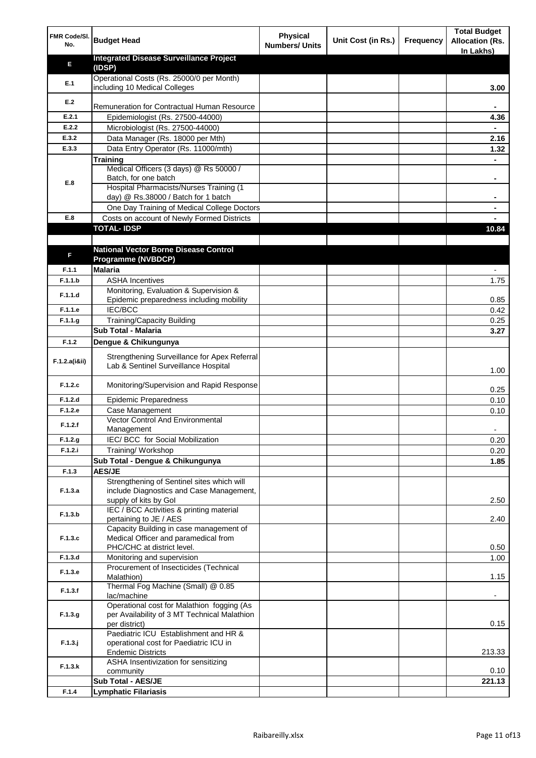| FMR Code/SI.<br>No. | <b>Budget Head</b>                                                                                              | <b>Physical</b><br><b>Numbers/ Units</b> | Unit Cost (in Rs.) | Frequency | <b>Total Budget</b><br><b>Allocation (Rs.</b><br>In Lakhs) |
|---------------------|-----------------------------------------------------------------------------------------------------------------|------------------------------------------|--------------------|-----------|------------------------------------------------------------|
| Е                   | <b>Integrated Disease Surveillance Project</b><br>(IDSP)                                                        |                                          |                    |           |                                                            |
| E.1                 | Operational Costs (Rs. 25000/0 per Month)<br>including 10 Medical Colleges                                      |                                          |                    |           | 3.00                                                       |
| E.2                 | Remuneration for Contractual Human Resource                                                                     |                                          |                    |           |                                                            |
| E.2.1               | Epidemiologist (Rs. 27500-44000)                                                                                |                                          |                    |           | 4.36                                                       |
| E.2.2               | Microbiologist (Rs. 27500-44000)                                                                                |                                          |                    |           |                                                            |
| E.3.2               | Data Manager (Rs. 18000 per Mth)                                                                                |                                          |                    |           | 2.16                                                       |
| E.3.3               | Data Entry Operator (Rs. 11000/mth)                                                                             |                                          |                    |           | 1.32                                                       |
|                     | <b>Training</b>                                                                                                 |                                          |                    |           |                                                            |
|                     | Medical Officers (3 days) @ Rs 50000 /<br>Batch, for one batch                                                  |                                          |                    |           |                                                            |
| E.8                 | Hospital Pharmacists/Nurses Training (1                                                                         |                                          |                    |           |                                                            |
|                     | day) @ Rs.38000 / Batch for 1 batch                                                                             |                                          |                    |           |                                                            |
|                     | One Day Training of Medical College Doctors                                                                     |                                          |                    |           |                                                            |
| E.8                 | Costs on account of Newly Formed Districts                                                                      |                                          |                    |           |                                                            |
|                     | <b>TOTAL-IDSP</b>                                                                                               |                                          |                    |           | 10.84                                                      |
|                     |                                                                                                                 |                                          |                    |           |                                                            |
| F                   | <b>National Vector Borne Disease Control</b>                                                                    |                                          |                    |           |                                                            |
|                     | <b>Programme (NVBDCP)</b>                                                                                       |                                          |                    |           |                                                            |
| F.1.1<br>F.1.1.b    | <b>Malaria</b>                                                                                                  |                                          |                    |           |                                                            |
|                     | <b>ASHA Incentives</b><br>Monitoring, Evaluation & Supervision &                                                |                                          |                    |           | 1.75                                                       |
| F.1.1.d             | Epidemic preparedness including mobility                                                                        |                                          |                    |           | 0.85                                                       |
| F.1.1.e             | <b>IEC/BCC</b>                                                                                                  |                                          |                    |           | 0.42                                                       |
| F.1.1.g             | Training/Capacity Building                                                                                      |                                          |                    |           | 0.25                                                       |
|                     | Sub Total - Malaria                                                                                             |                                          |                    |           | 3.27                                                       |
| F.1.2               | Dengue & Chikungunya                                                                                            |                                          |                    |           |                                                            |
| F.1.2.a(iⅈ)         | Strengthening Surveillance for Apex Referral<br>Lab & Sentinel Surveillance Hospital                            |                                          |                    |           | 1.00                                                       |
| F.1.2.c             | Monitoring/Supervision and Rapid Response                                                                       |                                          |                    |           | 0.25                                                       |
| F.1.2.d             | <b>Epidemic Preparedness</b>                                                                                    |                                          |                    |           | 0.10                                                       |
| F.1.2.e             | Case Management                                                                                                 |                                          |                    |           | 0.10                                                       |
| F.1.2.f             | <b>Vector Control And Environmental</b>                                                                         |                                          |                    |           |                                                            |
|                     | Management                                                                                                      |                                          |                    |           |                                                            |
| F.1.2.g<br>F.1.2.i  | IEC/ BCC for Social Mobilization                                                                                |                                          |                    |           | 0.20<br>0.20                                               |
|                     | Training/ Workshop<br>Sub Total - Dengue & Chikungunya                                                          |                                          |                    |           | 1.85                                                       |
| F.1.3               | <b>AES/JE</b>                                                                                                   |                                          |                    |           |                                                            |
| F.1.3.a             | Strengthening of Sentinel sites which will<br>include Diagnostics and Case Management,<br>supply of kits by Gol |                                          |                    |           | 2.50                                                       |
| F.1.3.b             | IEC / BCC Activities & printing material<br>pertaining to JE / AES                                              |                                          |                    |           | 2.40                                                       |
| F.1.3.c             | Capacity Building in case management of<br>Medical Officer and paramedical from                                 |                                          |                    |           |                                                            |
|                     | PHC/CHC at district level.                                                                                      |                                          |                    |           | 0.50                                                       |
| F.1.3.d             | Monitoring and supervision<br>Procurement of Insecticides (Technical                                            |                                          |                    |           | 1.00                                                       |
| F.1.3.e             | Malathion)<br>Thermal Fog Machine (Small) @ 0.85                                                                |                                          |                    |           | 1.15                                                       |
| F.1.3.f             | lac/machine                                                                                                     |                                          |                    |           | $\overline{\phantom{a}}$                                   |
| F.1.3.g             | Operational cost for Malathion fogging (As<br>per Availability of 3 MT Technical Malathion<br>per district)     |                                          |                    |           | 0.15                                                       |
| $F.1.3.$ j          | Paediatric ICU Establishment and HR &<br>operational cost for Paediatric ICU in<br><b>Endemic Districts</b>     |                                          |                    |           | 213.33                                                     |
| F.1.3.k             | ASHA Insentivization for sensitizing<br>community                                                               |                                          |                    |           | 0.10                                                       |
|                     | Sub Total - AES/JE                                                                                              |                                          |                    |           | 221.13                                                     |
| F.1.4               | <b>Lymphatic Filariasis</b>                                                                                     |                                          |                    |           |                                                            |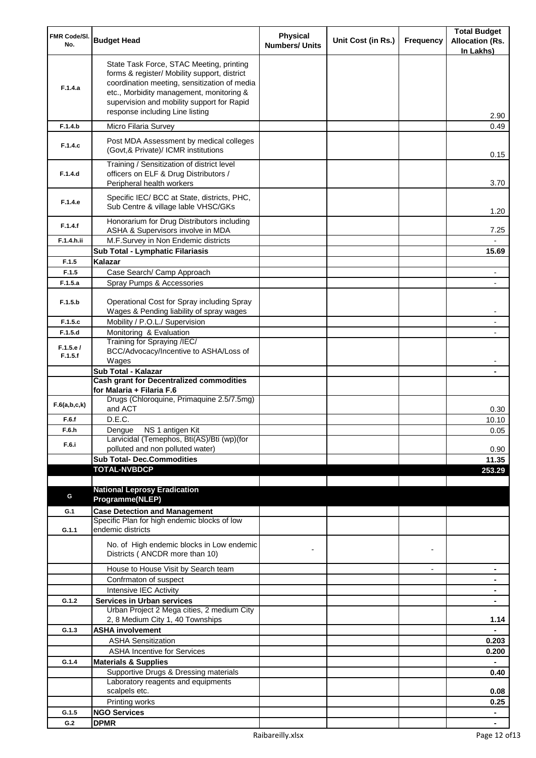| FMR Code/SI.<br>No. | <b>Budget Head</b>                                                                                                                                                                                                                                                    | <b>Physical</b><br><b>Numbers/ Units</b> | Unit Cost (in Rs.) | Frequency      | <b>Total Budget</b><br><b>Allocation (Rs.</b><br>In Lakhs) |
|---------------------|-----------------------------------------------------------------------------------------------------------------------------------------------------------------------------------------------------------------------------------------------------------------------|------------------------------------------|--------------------|----------------|------------------------------------------------------------|
| F.1.4.a             | State Task Force, STAC Meeting, printing<br>forms & register/ Mobility support, district<br>coordination meeting, sensitization of media<br>etc., Morbidity management, monitoring &<br>supervision and mobility support for Rapid<br>response including Line listing |                                          |                    |                | 2.90                                                       |
| F.1.4.b             | Micro Filaria Survey                                                                                                                                                                                                                                                  |                                          |                    |                | 0.49                                                       |
| F.1.4.c             | Post MDA Assessment by medical colleges<br>(Govt, & Private)/ ICMR institutions                                                                                                                                                                                       |                                          |                    |                | 0.15                                                       |
| F.1.4.d             | Training / Sensitization of district level<br>officers on ELF & Drug Distributors /<br>Peripheral health workers                                                                                                                                                      |                                          |                    |                | 3.70                                                       |
| F.1.4.e             | Specific IEC/ BCC at State, districts, PHC,<br>Sub Centre & village lable VHSC/GKs                                                                                                                                                                                    |                                          |                    |                | 1.20                                                       |
| F.1.4.f             | Honorarium for Drug Distributors including<br>ASHA & Supervisors involve in MDA                                                                                                                                                                                       |                                          |                    |                | 7.25                                                       |
| F.1.4.h.ii          | M.F.Survey in Non Endemic districts                                                                                                                                                                                                                                   |                                          |                    |                |                                                            |
|                     | Sub Total - Lymphatic Filariasis                                                                                                                                                                                                                                      |                                          |                    |                | 15.69                                                      |
| F.1.5               | Kalazar                                                                                                                                                                                                                                                               |                                          |                    |                |                                                            |
| F.1.5               | Case Search/ Camp Approach                                                                                                                                                                                                                                            |                                          |                    |                |                                                            |
| F.1.5.a             | Spray Pumps & Accessories                                                                                                                                                                                                                                             |                                          |                    |                |                                                            |
| F.1.5.b             | Operational Cost for Spray including Spray<br>Wages & Pending liability of spray wages                                                                                                                                                                                |                                          |                    |                |                                                            |
| F.1.5.c             | Mobility / P.O.L./ Supervision                                                                                                                                                                                                                                        |                                          |                    |                |                                                            |
| F.1.5.d             | Monitoring & Evaluation                                                                                                                                                                                                                                               |                                          |                    |                |                                                            |
| F.1.5.e/            | Training for Spraying /IEC/                                                                                                                                                                                                                                           |                                          |                    |                |                                                            |
| F.1.5.f             | BCC/Advocacy/Incentive to ASHA/Loss of                                                                                                                                                                                                                                |                                          |                    |                |                                                            |
|                     | Wages<br>Sub Total - Kalazar                                                                                                                                                                                                                                          |                                          |                    |                |                                                            |
|                     | <b>Cash grant for Decentralized commodities</b>                                                                                                                                                                                                                       |                                          |                    |                |                                                            |
|                     | for Malaria + Filaria F.6                                                                                                                                                                                                                                             |                                          |                    |                |                                                            |
| F.6(a,b,c,k)        | Drugs (Chloroquine, Primaquine 2.5/7.5mg)<br>and ACT                                                                                                                                                                                                                  |                                          |                    |                | 0.30                                                       |
| F.6.f               | D.E.C.                                                                                                                                                                                                                                                                |                                          |                    |                | 10.10                                                      |
| F.6.h               | Dengue NS 1 antigen Kit                                                                                                                                                                                                                                               |                                          |                    |                | 0.05                                                       |
| F.6.i               | Larvicidal (Temephos, Bti(AS)/Bti (wp)(for                                                                                                                                                                                                                            |                                          |                    |                |                                                            |
|                     | polluted and non polluted water)                                                                                                                                                                                                                                      |                                          |                    |                | 0.90                                                       |
|                     | <b>Sub Total- Dec.Commodities</b>                                                                                                                                                                                                                                     |                                          |                    |                | 11.35                                                      |
|                     | <b>TOTAL-NVBDCP</b>                                                                                                                                                                                                                                                   |                                          |                    |                | 253.29                                                     |
|                     | <b>National Leprosy Eradication</b>                                                                                                                                                                                                                                   |                                          |                    |                |                                                            |
| G                   | Programme(NLEP)                                                                                                                                                                                                                                                       |                                          |                    |                |                                                            |
| G.1                 | <b>Case Detection and Management</b>                                                                                                                                                                                                                                  |                                          |                    |                |                                                            |
|                     | Specific Plan for high endemic blocks of low                                                                                                                                                                                                                          |                                          |                    |                |                                                            |
| G.1.1               | endemic districts                                                                                                                                                                                                                                                     |                                          |                    |                |                                                            |
|                     | No. of High endemic blocks in Low endemic<br>Districts (ANCDR more than 10)                                                                                                                                                                                           |                                          |                    |                |                                                            |
|                     | House to House Visit by Search team                                                                                                                                                                                                                                   |                                          |                    | $\blacksquare$ | $\blacksquare$                                             |
|                     | Confrmaton of suspect                                                                                                                                                                                                                                                 |                                          |                    |                | ۰                                                          |
|                     | Intensive IEC Activity                                                                                                                                                                                                                                                |                                          |                    |                | $\blacksquare$                                             |
| G.1.2               | <b>Services in Urban services</b>                                                                                                                                                                                                                                     |                                          |                    |                | ٠                                                          |
|                     | Urban Project 2 Mega cities, 2 medium City                                                                                                                                                                                                                            |                                          |                    |                |                                                            |
|                     | 2, 8 Medium City 1, 40 Townships                                                                                                                                                                                                                                      |                                          |                    |                | 1.14                                                       |
| G.1.3               | <b>ASHA involvement</b>                                                                                                                                                                                                                                               |                                          |                    |                |                                                            |
|                     | <b>ASHA Sensitization</b>                                                                                                                                                                                                                                             |                                          |                    |                | 0.203                                                      |
|                     | <b>ASHA Incentive for Services</b>                                                                                                                                                                                                                                    |                                          |                    |                | 0.200                                                      |
| G.1.4               | <b>Materials &amp; Supplies</b>                                                                                                                                                                                                                                       |                                          |                    |                |                                                            |
|                     | Supportive Drugs & Dressing materials                                                                                                                                                                                                                                 |                                          |                    |                | 0.40                                                       |
|                     | Laboratory reagents and equipments<br>scalpels etc.                                                                                                                                                                                                                   |                                          |                    |                | 0.08                                                       |
|                     | Printing works                                                                                                                                                                                                                                                        |                                          |                    |                | 0.25                                                       |
| G.1.5               | <b>NGO Services</b>                                                                                                                                                                                                                                                   |                                          |                    |                | $\blacksquare$                                             |
| G.2                 | <b>DPMR</b>                                                                                                                                                                                                                                                           |                                          |                    |                | ٠                                                          |